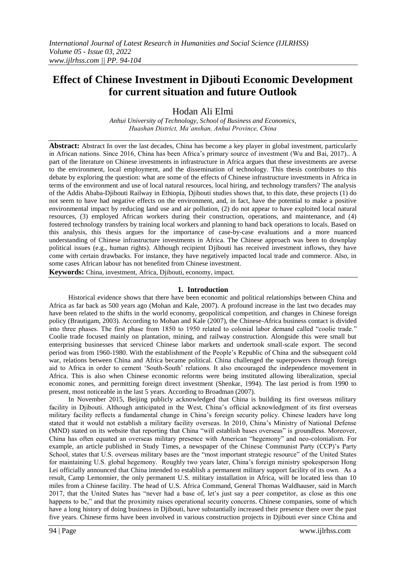# **Effect of Chinese Investment in Djibouti Economic Development for current situation and future Outlook**

Hodan Ali Elmi

*Anhui University of Technology, School of Business and Economics, Huashan District, Ma'anshan, Anhui Province, China*

**Abstract:** Abstract In over the last decades, China has become a key player in global investment, particularly in African nations. Since 2016, China has been Africa's primary source of investment (Wu and Bai, 2017).. A part of the literature on Chinese investments in infrastructure in Africa argues that these investments are averse to the environment, local employment, and the dissemination of technology. This thesis contributes to this debate by exploring the question: what are some of the effects of Chinese infrastructure investments in Africa in terms of the environment and use of local natural resources, local hiring, and technology transfers? The analysis of the Addis Ababa-Djibouti Railway in Ethiopia, Djibouti studies shows that, to this date, these projects (1) do not seem to have had negative effects on the environment, and, in fact, have the potential to make a positive environmental impact by reducing land use and air pollution, (2) do not appear to have exploited local natural resources, (3) employed African workers during their construction, operations, and maintenance, and (4) fostered technology transfers by training local workers and planning to hand back operations to locals. Based on this analysis, this thesis argues for the importance of case-by-case evaluations and a more nuanced understanding of Chinese infrastructure investments in Africa. The Chinese approach was been to downplay political issues (e.g., human rights). Although recipient Djibouti has received investment inflows, they have come with certain drawbacks. For instance, they have negatively impacted local trade and commerce. Also, in some cases African labour has not benefited from Chinese investment.

**Keywords:** China, investment, Africa, Djibouti, economy, impact.

#### **1. Introduction**

Historical evidence shows that there have been economic and political relationships between China and Africa as far back as 500 years ago (Mohan and Kale, 2007). A profound increase in the last two decades may have been related to the shifts in the world economy, geopolitical competition, and changes in Chinese foreign policy (Brautigam, 2003). According to Mohan and Kale (2007), the Chinese-Africa business contact is divided into three phases. The first phase from 1850 to 1950 related to colonial labor demand called "coolie trade." Coolie trade focused mainly on plantation, mining, and railway construction. Alongside this were small but enterprising businesses that serviced Chinese labor markets and undertook small-scale export. The second period was from 1960-1980. With the establishment of the People's Republic of China and the subsequent cold war, relations between China and Africa became political. China challenged the superpowers through foreign aid to Africa in order to cement 'South-South' relations. It also encouraged the independence movement in Africa. This is also when Chinese economic reforms were being instituted allowing liberalization, special economic zones, and permitting foreign direct investment (Shenkar, 1994). The last period is from 1990 to present, most noticeable in the last 5 years. According to Broadman (2007).

In November 2015, Beijing publicly acknowledged that China is building its first overseas military facility in Djibouti. Although anticipated in the West, China's official acknowledgment of its first overseas military facility reflects a fundamental change in China's foreign security policy. Chinese leaders have long stated that it would not establish a military facility overseas. In 2010, China's Ministry of National Defense (MND) stated on its website that reporting that China "will establish bases overseas" is groundless. Moreover, China has often equated an overseas military presence with American "hegemony" and neo-colonialism. For example, an article published in Study Times, a newspaper of the Chinese Communist Party (CCP)'s Party School, states that U.S. overseas military bases are the "most important strategic resource" of the United States for maintaining U.S. global hegemony. Roughly two years later, China's foreign ministry spokesperson Hong Lei officially announced that China intended to establish a permanent military support facility of its own. As a result, Camp Lemonnier, the only permanent U.S. military installation in Africa, will be located less than 10 miles from a Chinese facility. The head of U.S. Africa Command, General Thomas Waldhauser, said in March 2017, that the United States has "never had a base of, let's just say a peer competitor, as close as this one happens to be," and that the proximity raises operational security concerns. Chinese companies, some of which have a long history of doing business in Djibouti, have substantially increased their presence there over the past five years. Chinese firms have been involved in various construction projects in Djibouti ever since China and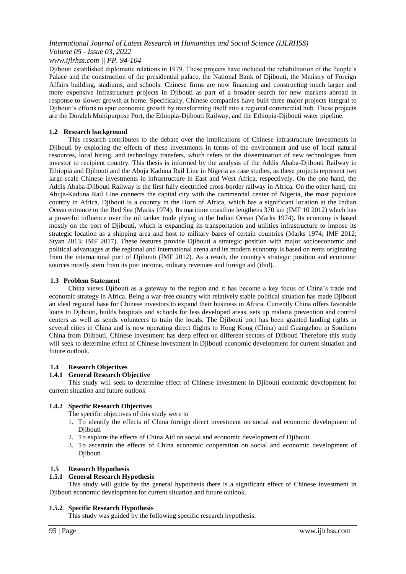*www.ijlrhss.com || PP. 94-104*

Djibouti established diplomatic relations in 1979. These projects have included the rehabilitation of the People's Palace and the construction of the presidential palace, the National Bank of Djibouti, the Ministry of Foreign Affairs building, stadiums, and schools. Chinese firms are now financing and constructing much larger and more expensive infrastructure projects in Djibouti as part of a broader search for new markets abroad in response to slower growth at home. Specifically, Chinese companies have built three major projects integral to Djibouti's efforts to spur economic growth by transforming itself into a regional commercial hub. These projects are the Doraleh Multipurpose Port, the Ethiopia-Djibouti Railway, and the Ethiopia-Djibouti water pipeline.

### **1.2 Research background**

This research contributes to the debate over the implications of Chinese infrastructure investments in Djibouti by exploring the effects of these investments in terms of the environment and use of local natural resources, local hiring, and technology transfers, which refers to the dissemination of new technologies from investor to recipient country. This thesis is informed by the analysis of the Addis Ababa-Djibouti Railway in Ethiopia and Djibouti and the Abuja Kaduna Rail Line in Nigeria as case studies, as these projects represent two large-scale Chinese investments in infrastructure in East and West Africa, respectively. On the one hand, the Addis Ababa-Djibouti Railway is the first fully electrified cross-border railway in Africa. On the other hand, the Abuja-Kaduna Rail Line connects the capital city with the commercial center of Nigeria, the most populous country in Africa. Djibouti is a country in the Horn of Africa, which has a significant location at the Indian Ocean entrance to the Red Sea (Marks 1974). Its maritime coastline lengthens 370 km (IMF 10 2012) which has a powerful influence over the oil tanker trade plying in the Indian Ocean (Marks 1974). Its economy is based mostly on the port of Djibouti, which is expanding its transportation and utilities infrastructure to impose its strategic location as a shipping area and host to military bases of certain countries (Marks 1974; IMF 2012; Styan 2013; IMF 2017). These features provide Djibouti a strategic position with major socioeconomic and political advantages at the regional and international arena and its modern economy is based on rents originating from the international port of Djibouti (IMF 2012). As a result, the country's strategic position and economic sources mostly stem from its port income, military revenues and foreign aid (ibid).

#### **1.3 Problem Statement**

China views Djibouti as a gateway to the region and it has become a key focus of China's trade and economic strategy in Africa. Being a war-free country with relatively stable political situation has made Djibouti an ideal regional base for Chinese investors to expand their business in Africa. Currently China offers favorable loans to Djibouti, builds hospitals and schools for less developed areas, sets up malaria prevention and control centers as well as sends volunteers to train the locals. The Djibouti port has been granted landing rights in several cities in China and is now operating direct flights to Hong Kong (China) and Guangzhou in Southern China from Djibouti, Chinese investment has deep effect on different sectors of Djibouti Therefore this study will seek to determine effect of Chinese investment in Djibouti economic development for current situation and future outlook.

#### **1.4 Research Objectives**

### **1.4.1 General Research Objective**

This study will seek to determine effect of Chinese investment in Djibouti economic development for current situation and future outlook

### **1.4.2 Specific Research Objectives**

- The specific objectives of this study were to
- 1. To identify the effects of China foreign direct investment on social and economic development of Djibouti
- 2. To explore the effects of China Aid on social and economic development of Djibouti
- 3. To ascertain the effects of China economic cooperation on social and economic development of Djibouti

#### **1.5 Research Hypothesis**

#### **1.5.1 General Research Hypothesis**

This study will guide by the general hypothesis there is a significant effect of Chinese investment in Djibouti economic development for current situation and future outlook.

#### **1.5.2 Specific Research Hypothesis**

This study was guided by the following specific research hypothesis.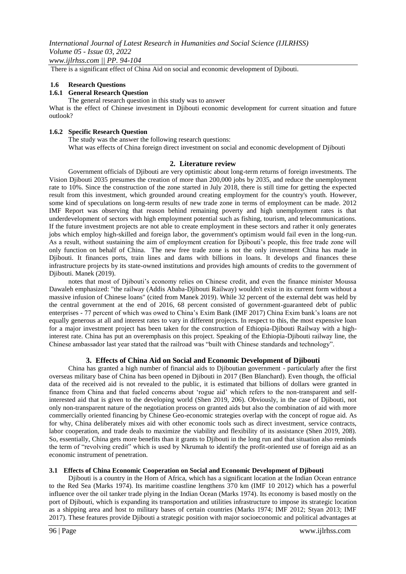*www.ijlrhss.com || PP. 94-104*

There is a significant effect of China Aid on social and economic development of Djibouti.

#### **1.6 Research Questions**

### **1.6.1 General Research Question**

The general research question in this study was to answer What is the effect of Chinese investment in Djibouti economic development for current situation and future outlook?

#### **1.6.2 Specific Research Question**

The study was the answer the following research questions: What was effects of China foreign direct investment on social and economic development of Djibouti

### **2. Literature review**

Government officials of Djibouti are very optimistic about long-term returns of foreign investments. The Vision Djibouti 2035 presumes the creation of more than 200,000 jobs by 2035, and reduce the unemployment rate to 10%. Since the construction of the zone started in July 2018, there is still time for getting the expected result from this investment, which grounded around creating employment for the country's youth. However, some kind of speculations on long-term results of new trade zone in terms of employment can be made. 2012 IMF Report was observing that reason behind remaining poverty and high unemployment rates is that underdevelopment of sectors with high employment potential such as fishing, tourism, and telecommunications. If the future investment projects are not able to create employment in these sectors and rather it only generates jobs which employ high-skilled and foreign labor, the government's optimism would fail even in the long-run. As a result, without sustaining the aim of employment creation for Djibouti's people, this free trade zone will only function on behalf of China. The new free trade zone is not the only investment China has made in Djibouti. It finances ports, train lines and dams with billions in loans. It develops and finances these infrastructure projects by its state-owned institutions and provides high amounts of credits to the government of Djibouti. Manek (2019).

notes that most of Djibouti's economy relies on Chinese credit, and even the finance minister Moussa Dawaleh emphasized: "the railway (Addis Ababa-Djibouti Railway) wouldn't exist in its current form without a massive infusion of Chinese loans" (cited from Manek 2019). While 32 percent of the external debt was held by the central government at the end of 2016, 68 percent consisted of government-guaranteed debt of public enterprises - 77 percent of which was owed to China's Exim Bank (IMF 2017) China Exim bank's loans are not equally generous at all and interest rates to vary in different projects. In respect to this, the most expensive loan for a major investment project has been taken for the construction of Ethiopia-Djibouti Railway with a highinterest rate. China has put an overemphasis on this project. Speaking of the Ethiopia-Djibouti railway line, the Chinese ambassador last year stated that the railroad was "built with Chinese standards and technology".

#### **3. Effects of China Aid on Social and Economic Development of Djibouti**

China has granted a high number of financial aids to Djiboutian government - particularly after the first overseas military base of China has been opened in Djibouti in 2017 (Ben Blanchard). Even though, the official data of the received aid is not revealed to the public, it is estimated that billions of dollars were granted in finance from China and that fueled concerns about 'rogue aid' which refers to the non-transparent and selfinterested aid that is given to the developing world (Shen 2019, 206). Obviously, in the case of Djibouti, not only non-transparent nature of the negotiation process on granted aids but also the combination of aid with more commercially oriented financing by Chinese Geo-economic strategies overlap with the concept of rogue aid. As for why, China deliberately mixes aid with other economic tools such as direct investment, service contracts, labor cooperation, and trade deals to maximize the viability and flexibility of its assistance (Shen 2019, 208). So, essentially, China gets more benefits than it grants to Djibouti in the long run and that situation also reminds the term of "revolving credit" which is used by Nkrumah to identify the profit-oriented use of foreign aid as an economic instrument of penetration.

#### **3.1 Effects of China Economic Cooperation on Social and Economic Development of Djibouti**

Djibouti is a country in the Horn of Africa, which has a significant location at the Indian Ocean entrance to the Red Sea (Marks 1974). Its maritime coastline lengthens 370 km (IMF 10 2012) which has a powerful influence over the oil tanker trade plying in the Indian Ocean (Marks 1974). Its economy is based mostly on the port of Djibouti, which is expanding its transportation and utilities infrastructure to impose its strategic location as a shipping area and host to military bases of certain countries (Marks 1974; IMF 2012; Styan 2013; IMF 2017). These features provide Djibouti a strategic position with major socioeconomic and political advantages at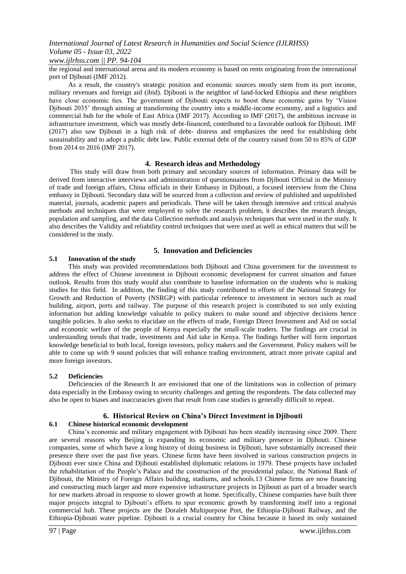### *www.ijlrhss.com || PP. 94-104*

the regional and international arena and its modern economy is based on rents originating from the international port of Djibouti (IMF 2012).

As a result, the country's strategic position and economic sources mostly stem from its port income, military revenues and foreign aid (ibid). Djibouti is the neighbor of land-locked Ethiopia and these neighbors have close economic ties. The government of Djibouti expects to boost these economic gains by 'Vision Djibouti 2035' through aiming at transforming the country into a middle-income economy, and a logistics and commercial hub for the whole of East Africa (IMF 2017). According to IMF (2017), the ambitious increase in infrastructure investment, which was mostly debt-financed, contributed to a favorable outlook for Djibouti. IMF (2017) also saw Djibouti in a high risk of debt- distress and emphasizes the need for establishing debt sustainability and to adopt a public debt law. Public external debt of the country raised from 50 to 85% of GDP from 2014 to 2016 (IMF 2017).

### **4. Research ideas and Methodology**

This study will draw from both primary and secondary sources of information. Primary data will be derived from interactive interviews and administration of questionnaires from Djibouti Official in the Ministry of trade and foreign affairs, China officials in their Embassy in Djibouti, a focused interview from the China embassy in Djibouti. Secondary data will be sourced from a collection and review of published and unpublished material, journals, academic papers and periodicals. These will be taken through intensive and critical analysis methods and techniques that were employed to solve the research problem, it describes the research design, population and sampling, and the data Collection methods and analysis techniques that were used in the study. It also describes the Validity and reliability control techniques that were used as well as ethical matters that will be considered in the study.

### **5. Innovation and Deficiencies**

#### **5.1 Innovation of the study**

This study was provided recommendations both Djibouti and China government for the investment to address the effect of Chinese investment in Djibouti economic development for current situation and future outlook. Results from this study would also contribute to baseline information on the students who is making studies for this field. In addition, the finding of this study contributed to efforts of the National Strategy for Growth and Reduction of Poverty (NSRGP) with particular reference to investment in sectors such as road building, airport, ports and railway. The purpose of this research project is contributed to not only existing information but adding knowledge valuable to policy makers to make sound and objective decisions hence tangible policies. It also seeks to elucidate on the effects of trade, Foreign Direct Investment and Aid on social and economic welfare of the people of Kenya especially the small-scale traders. The findings are crucial in understanding trends that trade, investments and Aid take in Kenya. The findings further will form important knowledge beneficial to both local, foreign investors, policy makers and the Government. Policy makers will be able to come up with 9 sound policies that will enhance trading environment, attract more private capital and more foreign investors.

#### **5.2 Deficiencies**

Deficiencies of the Research It are envisioned that one of the limitations was in collection of primary data especially in the Embassy owing to security challenges and getting the respondents. The data collected may also be open to biases and inaccuracies given that result from case studies is generally difficult to repeat.

#### **6. Historical Review on China's Direct Investment in Djibouti**

#### **6.1 Chinese historical economic development**

China's economic and military engagement with Djibouti has been steadily increasing since 2009. There are several reasons why Beijing is expanding its economic and military presence in Djibouti. Chinese companies, some of which have a long history of doing business in Djibouti, have substantially increased their presence there over the past five years. Chinese firms have been involved in various construction projects in Djibouti ever since China and Djibouti established diplomatic relations in 1979. These projects have included the rehabilitation of the People's Palace and the construction of the presidential palace, the National Bank of Djibouti, the Ministry of Foreign Affairs building, stadiums, and schools.13 Chinese firms are now financing and constructing much larger and more expensive infrastructure projects in Djibouti as part of a broader search for new markets abroad in response to slower growth at home. Specifically, Chinese companies have built three major projects integral to Djibouti's efforts to spur economic growth by transforming itself into a regional commercial hub. These projects are the Doraleh Multipurpose Port, the Ethiopia-Djibouti Railway, and the Ethiopia-Djibouti water pipeline. Djibouti is a crucial country for China because it based its only sustained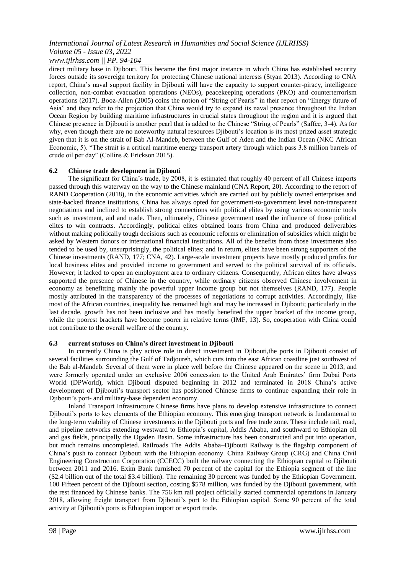### *www.ijlrhss.com || PP. 94-104*

direct military base in Djibouti. This became the first major instance in which China has established security forces outside its sovereign territory for protecting Chinese national interests (Styan 2013). According to CNA report, China's naval support facility in Djibouti will have the capacity to support counter-piracy, intelligence collection, non-combat evacuation operations (NEOs), peacekeeping operations (PKO) and counterterrorism operations (2017). Booz-Allen (2005) coins the notion of "String of Pearls" in their report on "Energy future of Asia" and they refer to the projection that China would try to expand its naval presence throughout the Indian Ocean Region by building maritime infrastructures in crucial states throughout the region and it is argued that Chinese presence in Djibouti is another pearl that is added to the Chinese "String of Pearls" (Saffee, 3-4). As for why, even though there are no noteworthy natural resources Djibouti's location is its most prized asset strategic given that it is on the strait of Bab Al-Mandeb, between the Gulf of Aden and the Indian Ocean (NKC African Economic, 5). "The strait is a critical maritime energy transport artery through which pass 3.8 million barrels of crude oil per day" (Collins & Erickson 2015).

### **6.2 Chinese trade development in Djibouti**

The significant for China's trade, by 2008, it is estimated that roughly 40 percent of all Chinese imports passed through this waterway on the way to the Chinese mainland (CNA Report, 20). According to the report of RAND Cooperation (2018), in the economic activities which are carried out by publicly owned enterprises and state-backed finance institutions, China has always opted for government-to-government level non-transparent negotiations and inclined to establish strong connections with political elites by using various economic tools such as investment, aid and trade. Then, ultimately, Chinese government used the influence of those political elites to win contracts. Accordingly, political elites obtained loans from China and produced deliverables without making politically tough decisions such as economic reforms or elimination of subsidies which might be asked by Western donors or international financial institutions. All of the benefits from those investments also tended to be used by, unsurprisingly, the political elites; and in return, elites have been strong supporters of the Chinese investments (RAND, 177; CNA, 42). Large-scale investment projects have mostly produced profits for local business elites and provided income to government and served to the political survival of its officials. However; it lacked to open an employment area to ordinary citizens. Consequently, African elites have always supported the presence of Chinese in the country, while ordinary citizens observed Chinese involvement in economy as benefitting mainly the powerful upper income group but not themselves (RAND, 177). People mostly attributed in the transparency of the processes of negotiations to corrupt activities. Accordingly, like most of the African countries, inequality has remained high and may be increased in Djibouti; particularly in the last decade, growth has not been inclusive and has mostly benefited the upper bracket of the income group, while the poorest brackets have become poorer in relative terms (IMF, 13). So, cooperation with China could not contribute to the overall welfare of the country.

### **6.3 current statuses on China's direct investment in Djibouti**

In currently China is play active role in direct investment in Djibouti,the ports in Djibouti consist of several facilities surrounding the Gulf of Tadjoureh, which cuts into the east African coastline just southwest of the Bab al-Mandeb. Several of them were in place well before the Chinese appeared on the scene in 2013, and were formerly operated under an exclusive 2006 concession to the United Arab Emirates' firm Dubai Ports World (DPWorld), which Djibouti disputed beginning in 2012 and terminated in 2018 China's active development of Djibouti's transport sector has positioned Chinese firms to continue expanding their role in Djibouti's port- and military-base dependent economy.

Inland Transport Infrastructure Chinese firms have plans to develop extensive infrastructure to connect Djibouti's ports to key elements of the Ethiopian economy. This emerging transport network is fundamental to the long-term viability of Chinese investments in the Djibouti ports and free trade zone. These include rail, road, and pipeline networks extending westward to Ethiopia's capital, Addis Ababa, and southward to Ethiopian oil and gas fields, principally the Ogaden Basin. Some infrastructure has been constructed and put into operation, but much remains uncompleted. Railroads The Addis Ababa–Djibouti Railway is the flagship component of China's push to connect Djibouti with the Ethiopian economy. China Railway Group (CRG) and China Civil Engineering Construction Corporation (CCECC) built the railway connecting the Ethiopian capital to Djibouti between 2011 and 2016. Exim Bank furnished 70 percent of the capital for the Ethiopia segment of the line (\$2.4 billion out of the total \$3.4 billion). The remaining 30 percent was funded by the Ethiopian Government. 100 Fifteen percent of the Djibouti section, costing \$578 million, was funded by the Djibouti government, with the rest financed by Chinese banks. The 756 km rail project officially started commercial operations in January 2018, allowing freight transport from Djibouti's port to the Ethiopian capital. Some 90 percent of the total activity at Djibouti's ports is Ethiopian import or export trade.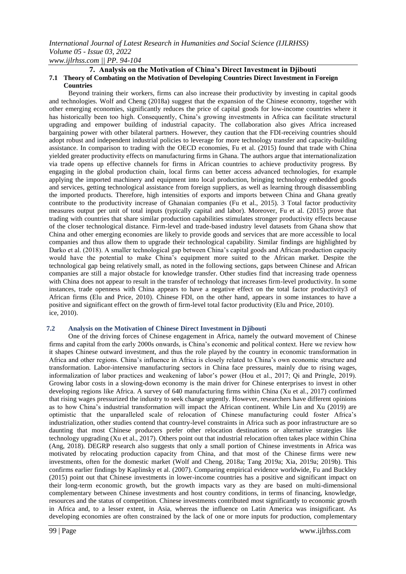#### **7. Analysis on the Motivation of China's Direct Investment in Djibouti 7.1 Theory of Combating on the Motivation of Developing Countries Direct Investment in Foreign Countries**

Beyond training their workers, firms can also increase their productivity by investing in capital goods and technologies. Wolf and Cheng (2018a) suggest that the expansion of the Chinese economy, together with other emerging economies, significantly reduces the price of capital goods for low-income countries where it has historically been too high. Consequently, China's growing investments in Africa can facilitate structural upgrading and empower building of industrial capacity. The collaboration also gives Africa increased bargaining power with other bilateral partners. However, they caution that the FDI-receiving countries should adopt robust and independent industrial policies to leverage for more technology transfer and capacity-building assistance. In comparison to trading with the OECD economies, Fu et al. (2015) found that trade with China yielded greater productivity effects on manufacturing firms in Ghana. The authors argue that internationalization via trade opens up effective channels for firms in African countries to achieve productivity progress. By engaging in the global production chain, local firms can better access advanced technologies, for example applying the imported machinery and equipment into local production, bringing technology embedded goods and services, getting technological assistance from foreign suppliers, as well as learning through disassembling the imported products. Therefore, high intensities of exports and imports between China and Ghana greatly contribute to the productivity increase of Ghanaian companies (Fu et al., 2015). 3 Total factor productivity measures output per unit of total inputs (typically capital and labor). Moreover, Fu et al. (2015) prove that trading with countries that share similar production capabilities stimulates stronger productivity effects because of the closer technological distance. Firm-level and trade-based industry level datasets from Ghana show that China and other emerging economies are likely to provide goods and services that are more accessible to local companies and thus allow them to upgrade their technological capability. Similar findings are highlighted by Darko et al. (2018). A smaller technological gap between China's capital goods and African production capacity would have the potential to make China's equipment more suited to the African market. Despite the technological gap being relatively small, as noted in the following sections, gaps between Chinese and African companies are still a major obstacle for knowledge transfer. Other studies find that increasing trade openness with China does not appear to result in the transfer of technology that increases firm-level productivity. In some instances, trade openness with China appears to have a negative effect on the total factor productivity3 of African firms (Elu and Price, 2010). Chinese FDI, on the other hand, appears in some instances to have a positive and significant effect on the growth of firm-level total factor productivity (Elu and Price, 2010). ice, 2010).

### **7.2 Analysis on the Motivation of Chinese Direct Investment in Djibouti**

One of the driving forces of Chinese engagement in Africa, namely the outward movement of Chinese firms and capital from the early 2000s onwards, is China's economic and political context. Here we review how it shapes Chinese outward investment, and thus the role played by the country in economic transformation in Africa and other regions. China's influence in Africa is closely related to China's own economic structure and transformation. Labor-intensive manufacturing sectors in China face pressures, mainly due to rising wages, informalization of labor practices and weakening of labor's power (Hou et al., 2017; Qi and Pringle, 2019). Growing labor costs in a slowing-down economy is the main driver for Chinese enterprises to invest in other developing regions like Africa. A survey of 640 manufacturing firms within China (Xu et al., 2017) confirmed that rising wages pressurized the industry to seek change urgently. However, researchers have different opinions as to how China's industrial transformation will impact the African continent. While Lin and Xu (2019) are optimistic that the unparalleled scale of relocation of Chinese manufacturing could foster Africa's industrialization, other studies contend that country-level constraints in Africa such as poor infrastructure are so daunting that most Chinese producers prefer other relocation destinations or alternative strategies like technology upgrading (Xu et al., 2017). Others point out that industrial relocation often takes place within China (Ang, 2018). DEGRP research also suggests that only a small portion of Chinese investments in Africa was motivated by relocating production capacity from China, and that most of the Chinese firms were new investments, often for the domestic market (Wolf and Cheng, 2018a; Tang 2019a; Xia, 2019a; 2019b). This confirms earlier findings by Kaplinsky et al. (2007). Comparing empirical evidence worldwide, Fu and Buckley (2015) point out that Chinese investments in lower-income countries has a positive and significant impact on their long-term economic growth, but the growth impacts vary as they are based on multi-dimensional complementary between Chinese investments and host country conditions, in terms of financing, knowledge, resources and the status of competition. Chinese investments contributed most significantly to economic growth in Africa and, to a lesser extent, in Asia, whereas the influence on Latin America was insignificant. As developing economies are often constrained by the lack of one or more inputs for production, complementary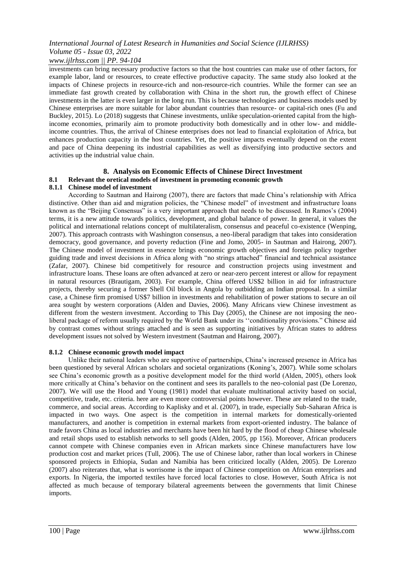### *www.ijlrhss.com || PP. 94-104*

investments can bring necessary productive factors so that the host countries can make use of other factors, for example labor, land or resources, to create effective productive capacity. The same study also looked at the impacts of Chinese projects in resource-rich and non-resource-rich countries. While the former can see an immediate fast growth created by collaboration with China in the short run, the growth effect of Chinese investments in the latter is even larger in the long run. This is because technologies and business models used by Chinese enterprises are more suitable for labor abundant countries than resource- or capital-rich ones (Fu and Buckley, 2015). Lo (2018) suggests that Chinese investments, unlike speculation-oriented capital from the highincome economies, primarily aim to promote productivity both domestically and in other low- and middleincome countries. Thus, the arrival of Chinese enterprises does not lead to financial exploitation of Africa, but enhances production capacity in the host countries. Yet, the positive impacts eventually depend on the extent and pace of China deepening its industrial capabilities as well as diversifying into productive sectors and activities up the industrial value chain.

### **8. Analysis on Economic Effects of Chinese Direct Investment**

### **8.1 Relevant the oretical models of investment in promoting economic growth**

### **8.1.1 Chinese model of investment**

According to Sautman and Hairong (2007), there are factors that made China's relationship with Africa distinctive. Other than aid and migration policies, the "Chinese model" of investment and infrastructure loans known as the "Beijing Consensus" is a very important approach that needs to be discussed. In Ramos's (2004) terms, it is a new attitude towards politics, development, and global balance of power. In general, it values the political and international relations concept of multilateralism, consensus and peaceful co-existence (Wenping, 2007). This approach contrasts with Washington consensus, a neo-liberal paradigm that takes into consideration democracy, good governance, and poverty reduction (Fine and Jomo, 2005- in Sautman and Hairong, 2007). The Chinese model of investment in essence brings economic growth objectives and foreign policy together guiding trade and invest decisions in Africa along with "no strings attached" financial and technical assistance (Zafar, 2007). Chinese bid competitively for resource and construction projects using investment and infrastructure loans. These loans are often advanced at zero or near-zero percent interest or allow for repayment in natural resources (Brautigam, 2003). For example, China offered US\$2 billion in aid for infrastructure projects, thereby securing a former Shell Oil block in Angola by outbidding an Indian proposal. In a similar case, a Chinese firm promised US\$7 billion in investments and rehabilitation of power stations to secure an oil area sought by western corporations (Alden and Davies, 2006). Many Africans view Chinese investment as different from the western investment. According to This Day (2005), the Chinese are not imposing the neoliberal package of reform usually required by the World Bank under its "conditionality provisions." Chinese aid by contrast comes without strings attached and is seen as supporting initiatives by African states to address development issues not solved by Western investment (Sautman and Hairong, 2007).

### **8.1.2 Chinese economic growth model impact**

Unlike their national leaders who are supportive of partnerships, China's increased presence in Africa has been questioned by several African scholars and societal organizations (Koning's, 2007). While some scholars see China's economic growth as a positive development model for the third world (Alden, 2005), others look more critically at China's behavior on the continent and sees its parallels to the neo-colonial past (De Lorenzo, 2007). We will use the Hood and Young (1981) model that evaluate multinational activity based on social, competitive, trade, etc. criteria. here are even more controversial points however. These are related to the trade, commerce, and social areas. According to Kaplisky and et al. (2007), in trade, especially Sub-Saharan Africa is impacted in two ways. One aspect is the competition in internal markets for domestically-oriented manufacturers, and another is competition in external markets from export-oriented industry. The balance of trade favors China as local industries and merchants have been hit hard by the flood of cheap Chinese wholesale and retail shops used to establish networks to sell goods (Alden, 2005, pp 156). Moreover, African producers cannot compete with Chinese companies even in African markets since Chinese manufacturers have low production cost and market prices (Tull, 2006). The use of Chinese labor, rather than local workers in Chinese sponsored projects in Ethiopia, Sudan and Namibia has been criticized locally (Alden, 2005). De Lorenzo (2007) also reiterates that, what is worrisome is the impact of Chinese competition on African enterprises and exports. In Nigeria, the imported textiles have forced local factories to close. However, South Africa is not affected as much because of temporary bilateral agreements between the governments that limit Chinese imports.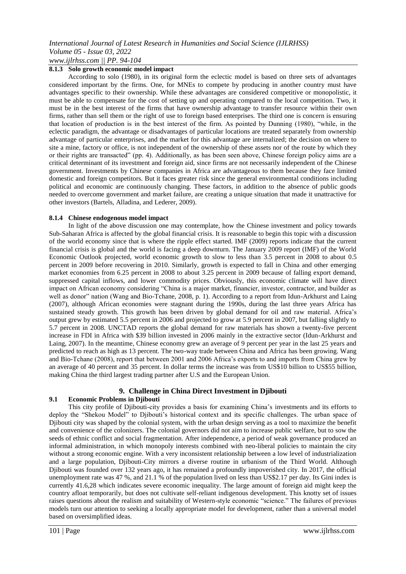*www.ijlrhss.com || PP. 94-104*

**8.1.3 Solo growth economic model impact** 

According to solo (1980), in its original form the eclectic model is based on three sets of advantages considered important by the firms. One, for MNEs to compete by producing in another country must have advantages specific to their ownership. While these advantages are considered competitive or monopolistic, it must be able to compensate for the cost of setting up and operating compared to the local competition. Two, it must be in the best interest of the firms that have ownership advantage to transfer resource within their own firms, rather than sell them or the right of use to foreign based enterprises. The third one is concern is ensuring that location of production is in the best interest of the firm. As pointed by Dunning (1980), "while, in the eclectic paradigm, the advantage or disadvantages of particular locations are treated separately from ownership advantage of particular enterprises, and the market for this advantage are internalized; the decision on where to site a mine, factory or office, is not independent of the ownership of these assets nor of the route by which they or their rights are transacted‖ (pp. 4). Additionally, as has been seen above, Chinese foreign policy aims are a critical determinant of its investment and foreign aid, since firms are not necessarily independent of the Chinese government. Investments by Chinese companies in Africa are advantageous to them because they face limited domestic and foreign competitors. But it faces greater risk since the general environmental conditions including political and economic are continuously changing. These factors, in addition to the absence of public goods needed to overcome government and market failure, are creating a unique situation that made it unattractive for other investors (Bartels, Alladina, and Lederer, 2009).

### **8.1.4 Chinese endogenous model impact**

In light of the above discussion one may contemplate, how the Chinese investment and policy towards Sub-Saharan Africa is affected by the global financial crisis. It is reasonable to begin this topic with a discussion of the world economy since that is where the ripple effect started. IMF (2009) reports indicate that the current financial crisis is global and the world is facing a deep downturn. The January 2009 report (IMF) of the World Economic Outlook projected, world economic growth to slow to less than 3.5 percent in 2008 to about 0.5 percent in 2009 before recovering in 2010. Similarly, growth is expected to fall in China and other emerging market economies from 6.25 percent in 2008 to about 3.25 percent in 2009 because of falling export demand, suppressed capital inflows, and lower commodity prices. Obviously, this economic climate will have direct impact on African economy considering "China is a major market, financier, investor, contractor, and builder as well as donor" nation (Wang and Bio-Tchane, 2008, p. 1). According to a report from Idun-Arkhurst and Laing (2007), although African economies were stagnant during the 1990s, during the last three years Africa has sustained steady growth. This growth has been driven by global demand for oil and raw material. Africa's output grew by estimated 5.5 percent in 2006 and projected to grow at 5.9 percent in 2007, but falling slightly to 5.7 percent in 2008. UNCTAD reports the global demand for raw materials has shown a twenty-five percent increase in FDI in Africa with \$39 billion invested in 2006 mainly in the extractive sector (Idun-Arkhurst and Laing, 2007). In the meantime, Chinese economy grew an average of 9 percent per year in the last 25 years and predicted to reach as high as 13 percent. The two-way trade between China and Africa has been growing. Wang and Bio-Tchane (2008), report that between 2001 and 2006 Africa's exports to and imports from China grew by an average of 40 percent and 35 percent. In dollar terms the increase was from US\$10 billion to US\$55 billion, making China the third largest trading partner after U.S and the European Union.

### **9. Challenge in China Direct Investment in Djibouti**

### **9.1 Economic Problems in Djibouti**

This city profile of Djibouti-city provides a basis for examining China's investments and its efforts to deploy the "Shekou Model" to Djibouti's historical context and its specific challenges. The urban space of Djibouti city was shaped by the colonial system, with the urban design serving as a tool to maximize the benefit and convenience of the colonizers. The colonial governors did not aim to increase public welfare, but to sow the seeds of ethnic conflict and social fragmentation. After independence, a period of weak governance produced an informal administration, in which monopoly interests combined with neo-liberal policies to maintain the city without a strong economic engine. With a very inconsistent relationship between a low level of industrialization and a large population, Djibouti-City mirrors a diverse routine in urbanism of the Third World. Although Djibouti was founded over 132 years ago, it has remained a profoundly impoverished city. In 2017, the official unemployment rate was 47 %, and 21.1 % of the population lived on less than US\$2.17 per day. Its Gini index is currently 41.6,28 which indicates severe economic inequality. The large amount of foreign aid might keep the country afloat temporarily, but does not cultivate self-reliant indigenous development. This knotty set of issues raises questions about the realism and suitability of Western-style economic "science." The failures of previous models turn our attention to seeking a locally appropriate model for development, rather than a universal model based on oversimplified ideas.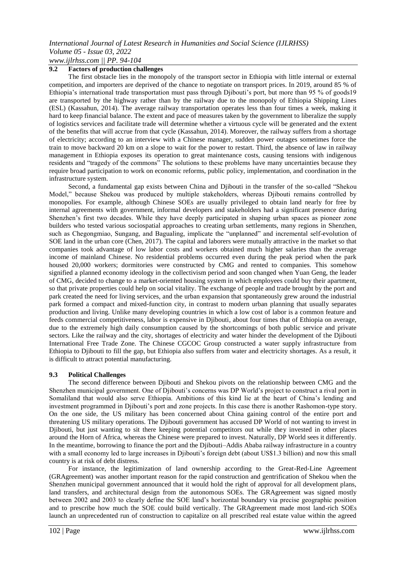*www.ijlrhss.com || PP. 94-104*

### **9.2 Factors of production challenges**

The first obstacle lies in the monopoly of the transport sector in Ethiopia with little internal or external competition, and importers are deprived of the chance to negotiate on transport prices. In 2019, around 85 % of Ethiopia's international trade transportation must pass through Djibouti's port, but more than 95 % of goods19 are transported by the highway rather than by the railway due to the monopoly of Ethiopia Shipping Lines (ESL) (Kassahun, 2014). The average railway transportation operates less than four times a week, making it hard to keep financial balance. The extent and pace of measures taken by the government to liberalize the supply of logistics services and facilitate trade will determine whether a virtuous cycle will be generated and the extent of the benefits that will accrue from that cycle (Kassahun, 2014). Moreover, the railway suffers from a shortage of electricity; according to an interview with a Chinese manager, sudden power outages sometimes force the train to move backward 20 km on a slope to wait for the power to restart. Third, the absence of law in railway management in Ethiopia exposes its operation to great maintenance costs, causing tensions with indigenous residents and "tragedy of the commons" The solutions to these problems have many uncertainties because they require broad participation to work on economic reforms, public policy, implementation, and coordination in the infrastructure system.

Second, a fundamental gap exists between China and Djibouti in the transfer of the so-called "Shekou Model," because Shekou was produced by multiple stakeholders, whereas Djibouti remains controlled by monopolies. For example, although Chinese SOEs are usually privileged to obtain land nearly for free by internal agreements with government, informal developers and stakeholders had a significant presence during Shenzhen's first two decades. While they have deeply participated in shaping urban spaces as pioneer zone builders who tested various sociospatial approaches to creating urban settlements, many regions in Shenzhen, such as Chegongmiao, Sungang, and Bagualing, implicate the "unplanned" and incremental self-evolution of SOE land in the urban core (Chen, 2017). The capital and laborers were mutually attractive in the market so that companies took advantage of low labor costs and workers obtained much higher salaries than the average income of mainland Chinese. No residential problems occurred even during the peak period when the park housed 20,000 workers; dormitories were constructed by CMG and rented to companies. This somehow signified a planned economy ideology in the collectivism period and soon changed when Yuan Geng, the leader of CMG, decided to change to a market-oriented housing system in which employees could buy their apartment, so that private properties could help on social vitality. The exchange of people and trade brought by the port and park created the need for living services, and the urban expansion that spontaneously grew around the industrial park formed a compact and mixed-function city, in contrast to modern urban planning that usually separates production and living. Unlike many developing countries in which a low cost of labor is a common feature and feeds commercial competitiveness, labor is expensive in Djibouti, about four times that of Ethiopia on average, due to the extremely high daily consumption caused by the shortcomings of both public service and private sectors. Like the railway and the city, shortages of electricity and water hinder the development of the Djibouti International Free Trade Zone. The Chinese CGCOC Group constructed a water supply infrastructure from Ethiopia to Djibouti to fill the gap, but Ethiopia also suffers from water and electricity shortages. As a result, it is difficult to attract potential manufacturing.

#### **9.3 Political Challenges**

The second difference between Djibouti and Shekou pivots on the relationship between CMG and the Shenzhen municipal government. One of Djibouti's concerns was DP World's project to construct a rival port in Somaliland that would also serve Ethiopia. Ambitions of this kind lie at the heart of China's lending and investment programmed in Djibouti's port and zone projects. In this case there is another Rashomon-type story. On the one side, the US military has been concerned about China gaining control of the entire port and threatening US military operations. The Djibouti government has accused DP World of not wanting to invest in Djibouti, but just wanting to sit there keeping potential competitors out while they invested in other places around the Horn of Africa, whereas the Chinese were prepared to invest. Naturally, DP World sees it differently. In the meantime, borrowing to finance the port and the Djibouti–Addis Ababa railway infrastructure in a country with a small economy led to large increases in Djibouti's foreign debt (about US\$1.3 billion) and now this small country is at risk of debt distress.

For instance, the legitimization of land ownership according to the Great-Red-Line Agreement (GRAgreement) was another important reason for the rapid construction and gentrification of Shekou when the Shenzhen municipal government announced that it would hold the right of approval for all development plans, land transfers, and architectural design from the autonomous SOEs. The GRAgreement was signed mostly between 2002 and 2003 to clearly define the SOE land's horizontal boundary via precise geographic position and to prescribe how much the SOE could build vertically. The GRAgreement made most land-rich SOEs launch an unprecedented run of construction to capitalize on all prescribed real estate value within the agreed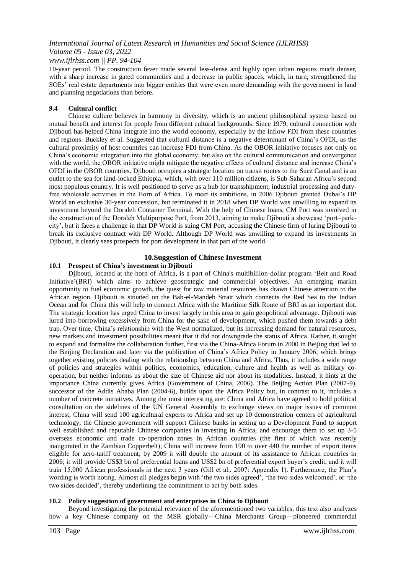*www.ijlrhss.com || PP. 94-104*

10-year period. The construction fever made several less-dense and highly open urban regions much denser, with a sharp increase in gated communities and a decrease in public spaces, which, in turn, strengthened the SOEs' real estate departments into bigger entities that were even more demanding with the government in land and planning negotiations than before.

### **9.4 Cultural conflict**

Chinese culture believes in harmony in diversity, which is an ancient philosophical system based on mutual benefit and interest for people from different cultural backgrounds. Since 1979, cultural connection with Djibouti has helped China integrate into the world economy, especially by the inflow FDI from these countries and regions. Buckley et al. Suggested that cultural distance is a negative determinant of China's OFDI, as the cultural proximity of host countries can increase FDI from China. As the OBOR initiative focuses not only on China's economic integration into the global economy, but also on the cultural communication and convergence with the world, the OBOR initiative might mitigate the negative effects of cultural distance and increase China's OFDI in the OBOR countries. Djibouti occupies a strategic location on transit routes to the Suez Canal and is an outlet to the sea for land-locked Ethiopia, which, with over 110 million citizens, is Sub-Saharan Africa's second most populous country. It is well positioned to serve as a hub for transshipment, industrial processing and dutyfree wholesale activities in the Horn of Africa. To meet its ambitions, in 2006 Djibouti granted Dubai's DP World an exclusive 30-year concession, but terminated it in 2018 when DP World was unwilling to expand its investment beyond the Doraleh Container Terminal. With the help of Chinese loans, CM Port was involved in the construction of the Doraleh Multipurpose Port, from 2013, aiming to make Djibouti a showcase 'port–park– city', but it faces a challenge in that DP World is suing CM Port, accusing the Chinese firm of luring Djibouti to break its exclusive contract with DP World. Although DP World was unwilling to expand its investments in Djibouti, it clearly sees prospects for port development in that part of the world.

### **10.Suggestion of Chinese Investment**

### **10.1 Prospect of China's investment in Djibouti**

Djibouti, located at the horn of Africa, is a part of China's multibillion-dollar program 'Belt and Road Initiative'(BRI) which aims to achieve geostrategic and commercial objectives. An emerging market opportunity to fuel economic growth, the quest for raw material resources has drawn Chinese attention to the African region. Djibouti is situated on the Bab-el-Mandeb Strait which connects the Red Sea to the Indian Ocean and for China this will help to connect Africa with the Maritime Silk Route of BRI as an important dot. The strategic location has urged China to invest largely in this area to gain geopolitical advantage. Djibouti was lured into borrowing excessively from China for the sake of development, which pushed them towards a debt trap. Over time, China's relationship with the West normalized, but its increasing demand for natural resources, new markets and investment possibilities meant that it did not downgrade the status of Africa. Rather, it sought to expand and formalize the collaboration further, first via the China-Africa Forum in 2000 in Beijing that led to the Beijing Declaration and later via the publication of China's Africa Policy in January 2006, which brings together existing policies dealing with the relationship between China and Africa. Thus, it includes a wide range of policies and strategies within politics, economics, education, culture and health as well as military cooperation, but neither informs us about the size of Chinese aid nor about its modalities. Instead, it hints at the importance China currently gives Africa (Government of China, 2006). The Beijing Action Plan (2007-9), successor of the Addis Ababa Plan (2004-6), builds upon the Africa Policy but, in contrast to it, includes a number of concrete initiatives. Among the most interesting are: China and Africa have agreed to hold political consultation on the sidelines of the UN General Assembly to exchange views on major issues of common interest; China will send 100 agricultural experts to Africa and set up 10 demonstration centers of agricultural technology; the Chinese government will support Chinese banks in setting up a Development Fund to support well established and reputable Chinese companies in investing in Africa, and encourage them to set up 3-5 overseas economic and trade co-operation zones in African countries (the first of which was recently inaugurated in the Zambian Copperbelt); China will increase from 190 to over 440 the number of export items eligible for zero-tariff treatment; by 2009 it will double the amount of its assistance to African countries in 2006; it will provide US\$3 bn of preferential loans and US\$2 bn of preferential export buyer's credit; and it will train 15,000 African professionals in the next 3 years (Gill et al., 2007: Appendix 1). Furthermore, the Plan's wording is worth noting. Almost all pledges begin with 'the two sides agreed', 'the two sides welcomed', or 'the two sides decided', thereby underlining the commitment to act by both sides.

### **10.2 Policy suggestion of government and enterprises in China to Djibouti**

Beyond investigating the potential relevance of the aforementioned two variables, this text also analyzes how a key Chinese company on the MSR globally—China Merchants Group—pioneered commercial